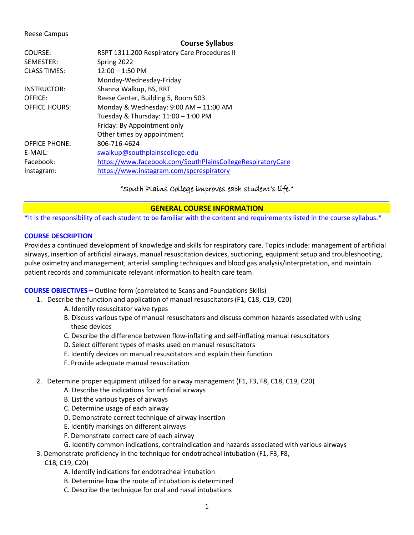### Reese Campus

#### **Course Syllabus**

| COURSE:              | RSPT 1311.200 Respiratory Care Procedures II               |
|----------------------|------------------------------------------------------------|
| SEMESTER:            | Spring 2022                                                |
| <b>CLASS TIMES:</b>  | $12:00 - 1:50$ PM                                          |
|                      | Monday-Wednesday-Friday                                    |
| <b>INSTRUCTOR:</b>   | Shanna Walkup, BS, RRT                                     |
| OFFICE:              | Reese Center, Building 5, Room 503                         |
| <b>OFFICE HOURS:</b> | Monday & Wednesday: 9:00 AM - 11:00 AM                     |
|                      | Tuesday & Thursday: 11:00 - 1:00 PM                        |
|                      | Friday: By Appointment only                                |
|                      | Other times by appointment                                 |
| <b>OFFICE PHONE:</b> | 806-716-4624                                               |
| E-MAIL:              | swalkup@southplainscollege.edu                             |
| Facebook:            | https://www.facebook.com/SouthPlainsCollegeRespiratoryCare |
| Instagram:           | https://www.instagram.com/spcrespiratory                   |
|                      |                                                            |

# "South Plains College improves each student's life."

# **GENERAL COURSE INFORMATION**

**\***It is the responsibility of each student to be familiar with the content and requirements listed in the course syllabus.\*

# **COURSE DESCRIPTION**

Provides a continued development of knowledge and skills for respiratory care. Topics include: management of artificial airways, insertion of artificial airways, manual resuscitation devices, suctioning, equipment setup and troubleshooting, pulse oximetry and management, arterial sampling techniques and blood gas analysis/interpretation, and maintain patient records and communicate relevant information to health care team.

# **COURSE OBJECTIVES –** Outline form (correlated to Scans and Foundations Skills)

- 1. Describe the function and application of manual resuscitators (F1, C18, C19, C20)
	- A. Identify resuscitator valve types
	- B. Discuss various type of manual resuscitators and discuss common hazards associated with using these devices
	- C. Describe the difference between flow-inflating and self-inflating manual resuscitators
	- D. Select different types of masks used on manual resuscitators
	- E. Identify devices on manual resuscitators and explain their function
	- F. Provide adequate manual resuscitation
- 2. Determine proper equipment utilized for airway management (F1, F3, F8, C18, C19, C20)
	- A. Describe the indications for artificial airways
	- B. List the various types of airways
	- C. Determine usage of each airway
	- D. Demonstrate correct technique of airway insertion
	- E. Identify markings on different airways
	- F. Demonstrate correct care of each airway
	- G. Identify common indications, contraindication and hazards associated with various airways
- 3. Demonstrate proficiency in the technique for endotracheal intubation (F1, F3, F8,
	- C18, C19, C20)
		- A. Identify indications for endotracheal intubation
		- B. Determine how the route of intubation is determined
		- C. Describe the technique for oral and nasal intubations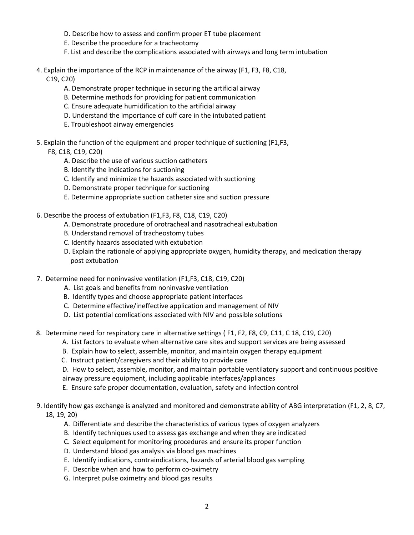- D. Describe how to assess and confirm proper ET tube placement
- E. Describe the procedure for a tracheotomy
- F. List and describe the complications associated with airways and long term intubation
- 4. Explain the importance of the RCP in maintenance of the airway (F1, F3, F8, C18,

C19, C20)

- A. Demonstrate proper technique in securing the artificial airway
- B. Determine methods for providing for patient communication
- C. Ensure adequate humidification to the artificial airway
- D. Understand the importance of cuff care in the intubated patient
- E. Troubleshoot airway emergencies
- 5. Explain the function of the equipment and proper technique of suctioning (F1,F3,

F8, C18, C19, C20)

- A. Describe the use of various suction catheters
- B. Identify the indications for suctioning
- C. Identify and minimize the hazards associated with suctioning
- D. Demonstrate proper technique for suctioning
- E. Determine appropriate suction catheter size and suction pressure
- 6. Describe the process of extubation (F1,F3, F8, C18, C19, C20)
	- A. Demonstrate procedure of orotracheal and nasotracheal extubation
	- B. Understand removal of tracheostomy tubes
	- C. Identify hazards associated with extubation
	- D. Explain the rationale of applying appropriate oxygen, humidity therapy, and medication therapy post extubation
- 7. Determine need for noninvasive ventilation (F1,F3, C18, C19, C20)
	- A. List goals and benefits from noninvasive ventilation
	- B. Identify types and choose appropriate patient interfaces
	- C. Determine effective/ineffective application and management of NIV
	- D. List potential comlications associated with NIV and possible solutions
- 8. Determine need for respiratory care in alternative settings ( F1, F2, F8, C9, C11, C 18, C19, C20)
	- A. List factors to evaluate when alternative care sites and support services are being assessed
	- B. Explain how to select, assemble, monitor, and maintain oxygen therapy equipment
	- C. Instruct patient/caregivers and their ability to provide care
	- D. How to select, assemble, monitor, and maintain portable ventilatory support and continuous positive
	- airway pressure equipment, including applicable interfaces/appliances
	- E. Ensure safe proper documentation, evaluation, safety and infection control
- 9. Identify how gas exchange is analyzed and monitored and demonstrate ability of ABG interpretation (F1, 2, 8, C7, 18, 19, 20)
	- A. Differentiate and describe the characteristics of various types of oxygen analyzers
	- B. Identify techniques used to assess gas exchange and when they are indicated
	- C. Select equipment for monitoring procedures and ensure its proper function
	- D. Understand blood gas analysis via blood gas machines
	- E. Identify indications, contraindications, hazards of arterial blood gas sampling
	- F. Describe when and how to perform co-oximetry
	- G. Interpret pulse oximetry and blood gas results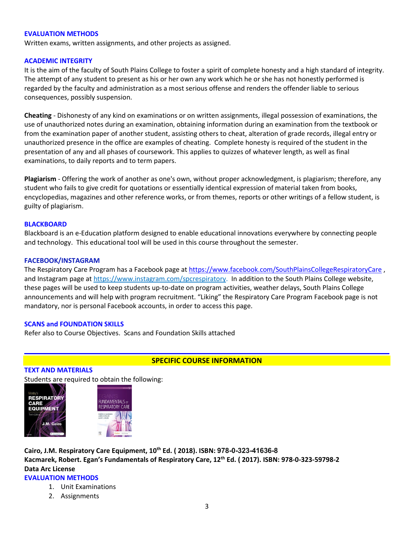#### **EVALUATION METHODS**

Written exams, written assignments, and other projects as assigned.

## **ACADEMIC INTEGRITY**

It is the aim of the faculty of South Plains College to foster a spirit of complete honesty and a high standard of integrity. The attempt of any student to present as his or her own any work which he or she has not honestly performed is regarded by the faculty and administration as a most serious offense and renders the offender liable to serious consequences, possibly suspension.

**Cheating** - Dishonesty of any kind on examinations or on written assignments, illegal possession of examinations, the use of unauthorized notes during an examination, obtaining information during an examination from the textbook or from the examination paper of another student, assisting others to cheat, alteration of grade records, illegal entry or unauthorized presence in the office are examples of cheating. Complete honesty is required of the student in the presentation of any and all phases of coursework. This applies to quizzes of whatever length, as well as final examinations, to daily reports and to term papers.

**Plagiarism** - Offering the work of another as one's own, without proper acknowledgment, is plagiarism; therefore, any student who fails to give credit for quotations or essentially identical expression of material taken from books, encyclopedias, magazines and other reference works, or from themes, reports or other writings of a fellow student, is guilty of plagiarism.

## **BLACKBOARD**

Blackboard is an e-Education platform designed to enable educational innovations everywhere by connecting people and technology. This educational tool will be used in this course throughout the semester.

## **FACEBOOK/INSTAGRAM**

The Respiratory Care Program has a Facebook page at <https://www.facebook.com/SouthPlainsCollegeRespiratoryCare>, and Instagram page at [https://www.instagram.com/spcrespiratory.](https://www.instagram.com/spcrespiratory) In addition to the South Plains College website, these pages will be used to keep students up-to-date on program activities, weather delays, South Plains College announcements and will help with program recruitment. "Liking" the Respiratory Care Program Facebook page is not mandatory, nor is personal Facebook accounts, in order to access this page.

#### **SCANS and FOUNDATION SKILLS**

Refer also to Course Objectives. Scans and Foundation Skills attached

# **SPECIFIC COURSE INFORMATION**

#### **TEXT AND MATERIALS**

Students are required to obtain the following:





**Cairo, J.M. Respiratory Care Equipment, 10th Ed. ( 2018). ISBN: 978-0-323-41636-8 Kacmarek, Robert. Egan's Fundamentals of Respiratory Care, 12th Ed. ( 2017). ISBN: 978-0-323-59798-2 Data Arc License**

## **EVALUATION METHODS**

- 1. Unit Examinations
- 2. Assignments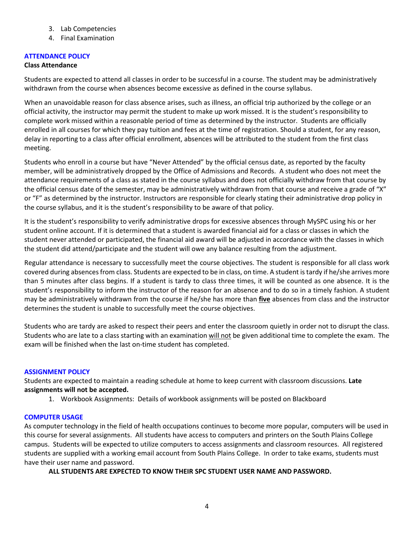- 3. Lab Competencies
- 4. Final Examination

# **ATTENDANCE POLICY**

## **Class Attendance**

Students are expected to attend all classes in order to be successful in a course. The student may be administratively withdrawn from the course when absences become excessive as defined in the course syllabus.

When an unavoidable reason for class absence arises, such as illness, an official trip authorized by the college or an official activity, the instructor may permit the student to make up work missed. It is the student's responsibility to complete work missed within a reasonable period of time as determined by the instructor. Students are officially enrolled in all courses for which they pay tuition and fees at the time of registration. Should a student, for any reason, delay in reporting to a class after official enrollment, absences will be attributed to the student from the first class meeting.

Students who enroll in a course but have "Never Attended" by the official census date, as reported by the faculty member, will be administratively dropped by the Office of Admissions and Records. A student who does not meet the attendance requirements of a class as stated in the course syllabus and does not officially withdraw from that course by the official census date of the semester, may be administratively withdrawn from that course and receive a grade of "X" or "F" as determined by the instructor. Instructors are responsible for clearly stating their administrative drop policy in the course syllabus, and it is the student's responsibility to be aware of that policy.

It is the student's responsibility to verify administrative drops for excessive absences through MySPC using his or her student online account. If it is determined that a student is awarded financial aid for a class or classes in which the student never attended or participated, the financial aid award will be adjusted in accordance with the classes in which the student did attend/participate and the student will owe any balance resulting from the adjustment.

Regular attendance is necessary to successfully meet the course objectives. The student is responsible for all class work covered during absences from class. Students are expected to be in class, on time. A student is tardy if he/she arrives more than 5 minutes after class begins. If a student is tardy to class three times, it will be counted as one absence. It is the student's responsibility to inform the instructor of the reason for an absence and to do so in a timely fashion. A student may be administratively withdrawn from the course if he/she has more than **five** absences from class and the instructor determines the student is unable to successfully meet the course objectives.

Students who are tardy are asked to respect their peers and enter the classroom quietly in order not to disrupt the class. Students who are late to a class starting with an examination will not be given additional time to complete the exam. The exam will be finished when the last on-time student has completed.

# **ASSIGNMENT POLICY**

Students are expected to maintain a reading schedule at home to keep current with classroom discussions. **Late assignments will not be accepted.** 

1. Workbook Assignments: Details of workbook assignments will be posted on Blackboard

# **COMPUTER USAGE**

As computer technology in the field of health occupations continues to become more popular, computers will be used in this course for several assignments. All students have access to computers and printers on the South Plains College campus. Students will be expected to utilize computers to access assignments and classroom resources. All registered students are supplied with a working email account from South Plains College. In order to take exams, students must have their user name and password.

**ALL STUDENTS ARE EXPECTED TO KNOW THEIR SPC STUDENT USER NAME AND PASSWORD.**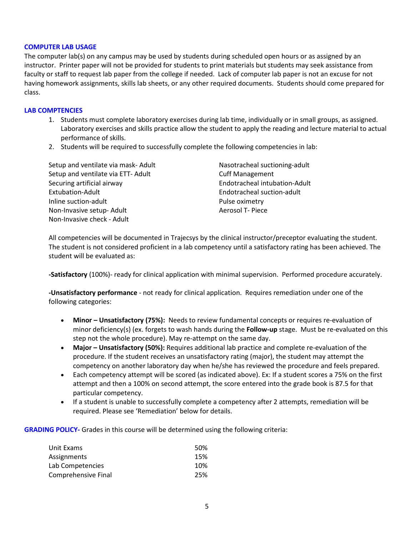#### **COMPUTER LAB USAGE**

The computer lab(s) on any campus may be used by students during scheduled open hours or as assigned by an instructor. Printer paper will not be provided for students to print materials but students may seek assistance from faculty or staff to request lab paper from the college if needed. Lack of computer lab paper is not an excuse for not having homework assignments, skills lab sheets, or any other required documents. Students should come prepared for class.

### **LAB COMPTENCIES**

- 1. Students must complete laboratory exercises during lab time, individually or in small groups, as assigned. Laboratory exercises and skills practice allow the student to apply the reading and lecture material to actual performance of skills.
- 2. Students will be required to successfully complete the following competencies in lab:

Setup and ventilate via mask- Adult Nasotracheal suctioning-adult Setup and ventilate via ETT- Adult Cuff Management Securing artificial airway Endotracheal intubation-Adult Extubation-Adult Endotracheal suction-adult Inline suction-adult **Pulse oximetry** Non-Invasive setup- Adult Aerosol T- Piece Non-Invasive check - Adult

All competencies will be documented in Trajecsys by the clinical instructor/preceptor evaluating the student. The student is not considered proficient in a lab competency until a satisfactory rating has been achieved. The student will be evaluated as:

**-Satisfactory** (100%)- ready for clinical application with minimal supervision. Performed procedure accurately.

**-Unsatisfactory performance** - not ready for clinical application. Requires remediation under one of the following categories:

- **Minor – Unsatisfactory (75%):** Needs to review fundamental concepts or requires re-evaluation of minor deficiency(s) (ex. forgets to wash hands during the **Follow-up** stage. Must be re-evaluated on this step not the whole procedure). May re-attempt on the same day.
- **Major – Unsatisfactory (50%):** Requires additional lab practice and complete re-evaluation of the procedure. If the student receives an unsatisfactory rating (major), the student may attempt the competency on another laboratory day when he/she has reviewed the procedure and feels prepared.
- Each competency attempt will be scored (as indicated above). Ex: If a student scores a 75% on the first attempt and then a 100% on second attempt, the score entered into the grade book is 87.5 for that particular competency.
- If a student is unable to successfully complete a competency after 2 attempts, remediation will be required. Please see 'Remediation' below for details.

**GRADING POLICY-** Grades in this course will be determined using the following criteria:

| Unit Exams          | 50% |
|---------------------|-----|
| Assignments         | 15% |
| Lab Competencies    | 10% |
| Comprehensive Final | 25% |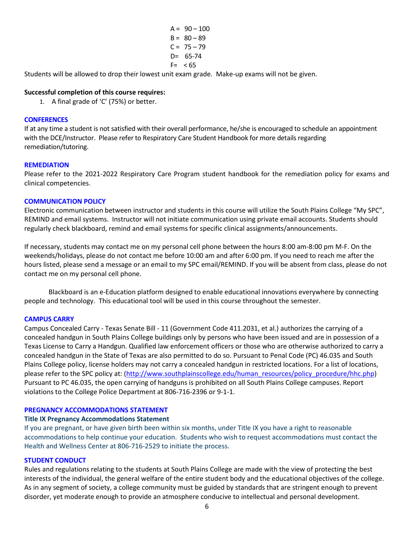$A = 90 - 100$  $B = 80 - 89$  $C = 75 - 79$ D= 65-74  $F= < 65$ 

Students will be allowed to drop their lowest unit exam grade. Make-up exams will not be given.

## **Successful completion of this course requires:**

1. A final grade of 'C' (75%) or better.

### **CONFERENCES**

If at any time a student is not satisfied with their overall performance, he/she is encouraged to schedule an appointment with the DCE/Instructor. Please refer to Respiratory Care Student Handbook for more details regarding remediation/tutoring.

## **REMEDIATION**

Please refer to the 2021-2022 Respiratory Care Program student handbook for the remediation policy for exams and clinical competencies.

## **COMMUNICATION POLICY**

Electronic communication between instructor and students in this course will utilize the South Plains College "My SPC", REMIND and email systems. Instructor will not initiate communication using private email accounts. Students should regularly check blackboard, remind and email systems for specific clinical assignments/announcements.

If necessary, students may contact me on my personal cell phone between the hours 8:00 am-8:00 pm M-F. On the weekends/holidays, please do not contact me before 10:00 am and after 6:00 pm. If you need to reach me after the hours listed, please send a message or an email to my SPC email/REMIND. If you will be absent from class, please do not contact me on my personal cell phone.

Blackboard is an e-Education platform designed to enable educational innovations everywhere by connecting people and technology. This educational tool will be used in this course throughout the semester.

#### **CAMPUS CARRY**

Campus Concealed Carry - Texas Senate Bill - 11 (Government Code 411.2031, et al.) authorizes the carrying of a concealed handgun in South Plains College buildings only by persons who have been issued and are in possession of a Texas License to Carry a Handgun. Qualified law enforcement officers or those who are otherwise authorized to carry a concealed handgun in the State of Texas are also permitted to do so. Pursuant to Penal Code (PC) 46.035 and South Plains College policy, license holders may not carry a concealed handgun in restricted locations. For a list of locations, please refer to the SPC policy at: [\(http://www.southplainscollege.edu/human\\_resources/policy\\_procedure/hhc.php\)](http://www.southplainscollege.edu/human_resources/policy_procedure/hhc.php) Pursuant to PC 46.035, the open carrying of handguns is prohibited on all South Plains College campuses. Report violations to the College Police Department at 806-716-2396 or 9-1-1.

#### **PREGNANCY ACCOMMODATIONS STATEMENT**

#### **Title IX Pregnancy Accommodations Statement**

If you are pregnant, or have given birth been within six months, under Title IX you have a right to reasonable accommodations to help continue your education. Students who wish to request accommodations must contact the Health and Wellness Center at 806-716-2529 to initiate the process.

### **STUDENT CONDUCT**

Rules and regulations relating to the students at South Plains College are made with the view of protecting the best interests of the individual, the general welfare of the entire student body and the educational objectives of the college. As in any segment of society, a college community must be guided by standards that are stringent enough to prevent disorder, yet moderate enough to provide an atmosphere conducive to intellectual and personal development.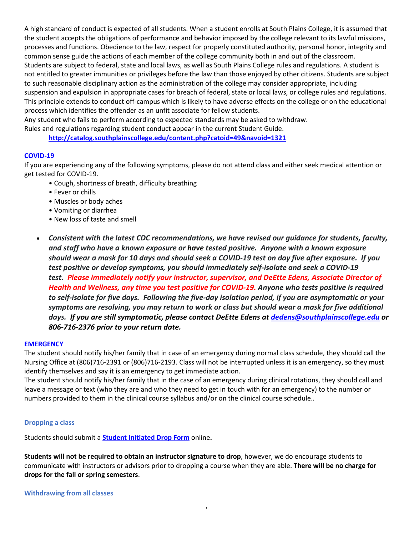A high standard of conduct is expected of all students. When a student enrolls at South Plains College, it is assumed that the student accepts the obligations of performance and behavior imposed by the college relevant to its lawful missions, processes and functions. Obedience to the law, respect for properly constituted authority, personal honor, integrity and common sense guide the actions of each member of the college community both in and out of the classroom. Students are subject to federal, state and local laws, as well as South Plains College rules and regulations. A student is not entitled to greater immunities or privileges before the law than those enjoyed by other citizens. Students are subject to such reasonable disciplinary action as the administration of the college may consider appropriate, including suspension and expulsion in appropriate cases for breach of federal, state or local laws, or college rules and regulations. This principle extends to conduct off-campus which is likely to have adverse effects on the college or on the educational process which identifies the offender as an unfit associate for fellow students.

Any student who fails to perform according to expected standards may be asked to withdraw.

Rules and regulations regarding student conduct appear in the current Student Guide.

**<http://catalog.southplainscollege.edu/content.php?catoid=49&navoid=1321>**

## **COVID-19**

If you are experiencing any of the following symptoms, please do not attend class and either seek medical attention or get tested for COVID-19.

- Cough, shortness of breath, difficulty breathing
- Fever or chills
- Muscles or body aches
- Vomiting or diarrhea
- New loss of taste and smell
- *Consistent with the latest CDC recommendations, we have revised our guidance for students, faculty, and staff who have a known exposure or have tested positive. Anyone with a known exposure should wear a mask for 10 days and should seek a COVID-19 test on day five after exposure. If you test positive or develop symptoms, you should immediately self-isolate and seek a COVID-19 test. Please immediately notify your instructor, supervisor, and DeEtte Edens, Associate Director of Health and Wellness, any time you test positive for COVID-19. Anyone who tests positive is required to self-isolate for five days. Following the five-day isolation period, if you are asymptomatic or your symptoms are resolving, you may return to work or class but should wear a mask for five additional days. If you are still symptomatic, please contact DeEtte Edens a[t dedens@southplainscollege.edu](mailto:dedens@southplainscollege.edu) or 806-716-2376 prior to your return date.*

#### **EMERGENCY**

The student should notify his/her family that in case of an emergency during normal class schedule, they should call the Nursing Office at (806)716-2391 or (806)716-2193. Class will not be interrupted unless it is an emergency, so they must identify themselves and say it is an emergency to get immediate action.

The student should notify his/her family that in the case of an emergency during clinical rotations, they should call and leave a message or text (who they are and who they need to get in touch with for an emergency) to the number or numbers provided to them in the clinical course syllabus and/or on the clinical course schedule..

#### **Dropping a class**

Students should submit a **Student [Initiated](https://forms.office.com/Pages/ResponsePage.aspx?id=ZrGRbWrP6UWeIqAmJdCCqRkmPIpp6AVCixFJfcqITt9UODExTUFXS0JOODhJOTlYM0NEV1kzRk9GMS4u) Drop Form** online**.**

**Students will not be required to obtain an instructor signature to drop**, however, we do encourage students to communicate with instructors or advisors prior to dropping a course when they are able. **There will be no charge for drops for the fall or spring semesters**.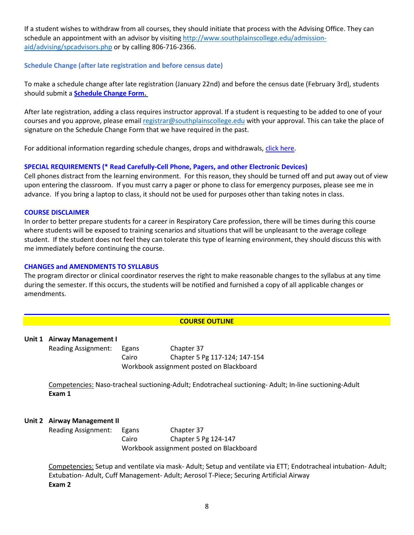If a student wishes to withdraw from all courses, they should initiate that process with the Advising Office. They can schedule an appointment with an advisor by visiting [http://www.southplainscollege.edu/admission](http://www.southplainscollege.edu/admission-aid/advising/spcadvisors.php)[aid/advising/spcadvisors.php](http://www.southplainscollege.edu/admission-aid/advising/spcadvisors.php) or by calling 806-716-2366.

## **Schedule Change (after late registration and before census date)**

To make a schedule change after late registration (January 22nd) and before the census date (February 3rd), students should submit a **[Schedule](https://forms.office.com/Pages/ResponsePage.aspx?id=ZrGRbWrP6UWeIqAmJdCCqRkmPIpp6AVCixFJfcqITt9UODIyTkRZSkFHVDNSVFRFV0g0T0tVWVAwRi4u) Change Form.**

After late registration, adding a class requires instructor approval. If a student is requesting to be added to one of your courses and you approve, please email [registrar@southplainscollege.edu](mailto:registrar@southplainscollege.edu) with your approval. This can take the place of signature on the Schedule Change Form that we have required in the past.

For additional information regarding schedule changes, drops and withdrawals, click [here.](http://www.southplainscollege.edu/admission-aid/apply/schedulechanges.php)

# **SPECIAL REQUIREMENTS (\* Read Carefully-Cell Phone, Pagers, and other Electronic Devices)**

Cell phones distract from the learning environment. For this reason, they should be turned off and put away out of view upon entering the classroom. If you must carry a pager or phone to class for emergency purposes, please see me in advance. If you bring a laptop to class, it should not be used for purposes other than taking notes in class.

#### **COURSE DISCLAIMER**

In order to better prepare students for a career in Respiratory Care profession, there will be times during this course where students will be exposed to training scenarios and situations that will be unpleasant to the average college student. If the student does not feel they can tolerate this type of learning environment, they should discuss this with me immediately before continuing the course.

#### **CHANGES and AMENDMENTS TO SYLLABUS**

The program director or clinical coordinator reserves the right to make reasonable changes to the syllabus at any time during the semester. If this occurs, the students will be notified and furnished a copy of all applicable changes or amendments.

# **COURSE OUTLINE**

#### **Unit 1 Airway Management I**

Reading Assignment: Egans Chapter 37 Cairo Chapter 5 Pg 117-124; 147-154 Workbook assignment posted on Blackboard

Competencies: Naso-tracheal suctioning-Adult; Endotracheal suctioning- Adult; In-line suctioning-Adult **Exam 1**

## **Unit 2 Airway Management II**

Reading Assignment: Egans Chapter 37 Cairo Chapter 5 Pg 124-147 Workbook assignment posted on Blackboard

Competencies: Setup and ventilate via mask- Adult; Setup and ventilate via ETT; Endotracheal intubation- Adult; Extubation- Adult, Cuff Management- Adult; Aerosol T-Piece; Securing Artificial Airway **Exam 2**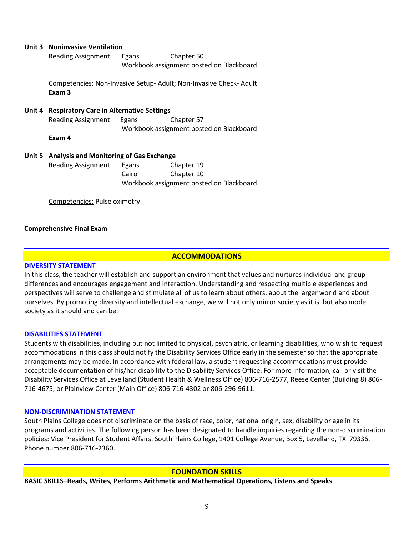| Unit 3 Noninvasive Ventilation                  |                                          |                                                                  |  |  |
|-------------------------------------------------|------------------------------------------|------------------------------------------------------------------|--|--|
| <b>Reading Assignment:</b>                      | Egans                                    | Chapter 50                                                       |  |  |
|                                                 | Workbook assignment posted on Blackboard |                                                                  |  |  |
| Exam 3                                          |                                          | Competencies: Non-Invasive Setup-Adult; Non-Invasive Check-Adult |  |  |
| Unit 4 Respiratory Care in Alternative Settings |                                          |                                                                  |  |  |
| <b>Reading Assignment:</b>                      | Egans                                    | Chapter 57                                                       |  |  |
|                                                 |                                          | Workbook assignment posted on Blackboard                         |  |  |
| Exam 4                                          |                                          |                                                                  |  |  |
| Unit 5 Analysis and Monitoring of Gas Exchange  |                                          |                                                                  |  |  |
| Reading Assignment:                             | Egans                                    | Chapter 19                                                       |  |  |
|                                                 | Cairo                                    | Chapter 10                                                       |  |  |
|                                                 |                                          | Workbook assignment posted on Blackboard                         |  |  |
| Competencies: Pulse oximetry                    |                                          |                                                                  |  |  |

## **Comprehensive Final Exam**

## **ACCOMMODATIONS**

#### **DIVERSITY STATEMENT**

In this class, the teacher will establish and support an environment that values and nurtures individual and group differences and encourages engagement and interaction. Understanding and respecting multiple experiences and perspectives will serve to challenge and stimulate all of us to learn about others, about the larger world and about ourselves. By promoting diversity and intellectual exchange, we will not only mirror society as it is, but also model society as it should and can be.

#### **DISABILITIES STATEMENT**

Students with disabilities, including but not limited to physical, psychiatric, or learning disabilities, who wish to request accommodations in this class should notify the Disability Services Office early in the semester so that the appropriate arrangements may be made. In accordance with federal law, a student requesting accommodations must provide acceptable documentation of his/her disability to the Disability Services Office. For more information, call or visit the Disability Services Office at Levelland (Student Health & Wellness Office) 806-716-2577, Reese Center (Building 8) 806- 716-4675, or Plainview Center (Main Office) 806-716-4302 or 806-296-9611.

#### **NON-DISCRIMINATION STATEMENT**

South Plains College does not discriminate on the basis of race, color, national origin, sex, disability or age in its programs and activities. The following person has been designated to handle inquiries regarding the non-discrimination policies: Vice President for Student Affairs, South Plains College, 1401 College Avenue, Box 5, Levelland, TX 79336. Phone number 806-716-2360.

#### **FOUNDATION SKILLS**

**BASIC SKILLS–Reads, Writes, Performs Arithmetic and Mathematical Operations, Listens and Speaks**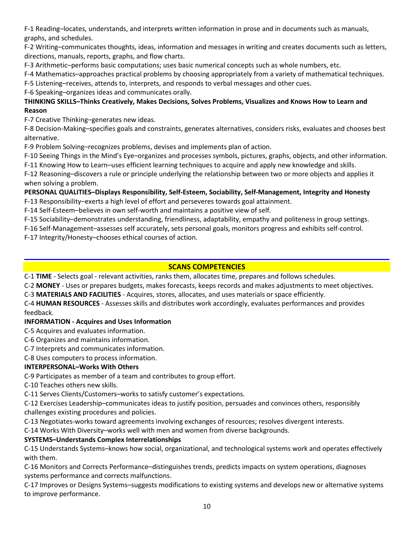F-1 Reading–locates, understands, and interprets written information in prose and in documents such as manuals, graphs, and schedules.

F-2 Writing–communicates thoughts, ideas, information and messages in writing and creates documents such as letters, directions, manuals, reports, graphs, and flow charts.

F-3 Arithmetic–performs basic computations; uses basic numerical concepts such as whole numbers, etc.

F-4 Mathematics–approaches practical problems by choosing appropriately from a variety of mathematical techniques.

F-5 Listening–receives, attends to, interprets, and responds to verbal messages and other cues.

F-6 Speaking–organizes ideas and communicates orally.

# **THINKING SKILLS–Thinks Creatively, Makes Decisions, Solves Problems, Visualizes and Knows How to Learn and Reason**

F-7 Creative Thinking–generates new ideas.

F-8 Decision-Making–specifies goals and constraints, generates alternatives, considers risks, evaluates and chooses best alternative.

F-9 Problem Solving–recognizes problems, devises and implements plan of action.

F-10 Seeing Things in the Mind's Eye–organizes and processes symbols, pictures, graphs, objects, and other information. F-11 Knowing How to Learn–uses efficient learning techniques to acquire and apply new knowledge and skills.

F-12 Reasoning–discovers a rule or principle underlying the relationship between two or more objects and applies it when solving a problem.

# **PERSONAL QUALITIES–Displays Responsibility, Self-Esteem, Sociability, Self-Management, Integrity and Honesty**

F-13 Responsibility–exerts a high level of effort and perseveres towards goal attainment.

F-14 Self-Esteem–believes in own self-worth and maintains a positive view of self.

F-15 Sociability–demonstrates understanding, friendliness, adaptability, empathy and politeness in group settings.

F-16 Self-Management–assesses self accurately, sets personal goals, monitors progress and exhibits self-control.

F-17 Integrity/Honesty–chooses ethical courses of action.

# **SCANS COMPETENCIES**

C-1 **TIME** - Selects goal - relevant activities, ranks them, allocates time, prepares and follows schedules.

C-2 **MONEY** - Uses or prepares budgets, makes forecasts, keeps records and makes adjustments to meet objectives.

C-3 **MATERIALS AND FACILITIES** - Acquires, stores, allocates, and uses materials or space efficiently.

C-4 **HUMAN RESOURCES** - Assesses skills and distributes work accordingly, evaluates performances and provides feedback.

# **INFORMATION - Acquires and Uses Information**

C-5 Acquires and evaluates information.

C-6 Organizes and maintains information.

C-7 Interprets and communicates information.

C-8 Uses computers to process information.

# **INTERPERSONAL–Works With Others**

C-9 Participates as member of a team and contributes to group effort.

C-10 Teaches others new skills.

C-11 Serves Clients/Customers–works to satisfy customer's expectations.

C-12 Exercises Leadership–communicates ideas to justify position, persuades and convinces others, responsibly challenges existing procedures and policies.

C-13 Negotiates-works toward agreements involving exchanges of resources; resolves divergent interests.

C-14 Works With Diversity–works well with men and women from diverse backgrounds.

# **SYSTEMS–Understands Complex Interrelationships**

C-15 Understands Systems–knows how social, organizational, and technological systems work and operates effectively with them.

C-16 Monitors and Corrects Performance–distinguishes trends, predicts impacts on system operations, diagnoses systems performance and corrects malfunctions.

C-17 Improves or Designs Systems–suggests modifications to existing systems and develops new or alternative systems to improve performance.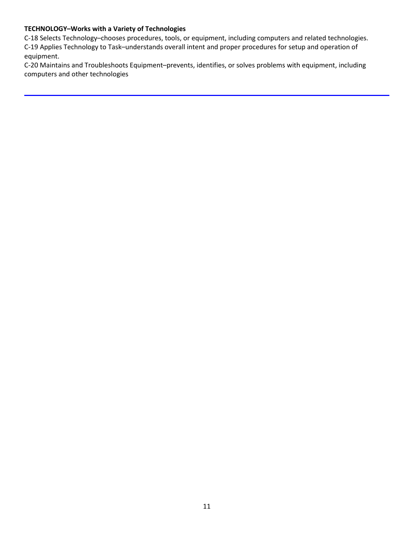# **TECHNOLOGY–Works with a Variety of Technologies**

C-18 Selects Technology–chooses procedures, tools, or equipment, including computers and related technologies. C-19 Applies Technology to Task–understands overall intent and proper procedures for setup and operation of equipment.

C-20 Maintains and Troubleshoots Equipment–prevents, identifies, or solves problems with equipment, including computers and other technologies